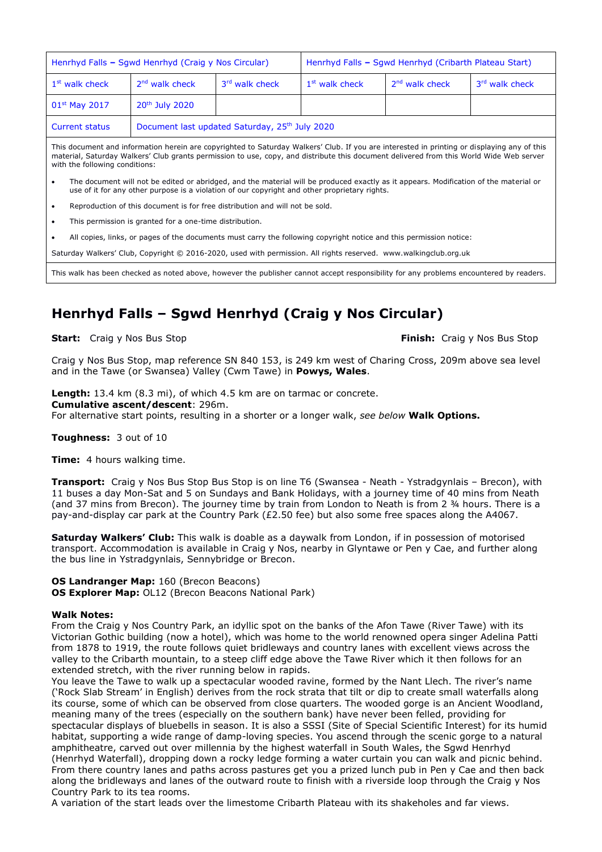| Henrhyd Falls - Sqwd Henrhyd (Craig y Nos Circular)                                                                                                                                                                                                                                                                                                                                 |                                                            |                | Henrhyd Falls - Sqwd Henrhyd (Cribarth Plateau Start) |                            |                            |
|-------------------------------------------------------------------------------------------------------------------------------------------------------------------------------------------------------------------------------------------------------------------------------------------------------------------------------------------------------------------------------------|------------------------------------------------------------|----------------|-------------------------------------------------------|----------------------------|----------------------------|
| $1st$ walk check                                                                                                                                                                                                                                                                                                                                                                    | $2nd$ walk check                                           | 3rd walk check | 1 <sup>st</sup> walk check                            | 2 <sup>nd</sup> walk check | 3 <sup>rd</sup> walk check |
| $01st$ May 2017                                                                                                                                                                                                                                                                                                                                                                     | 20 <sup>th</sup> July 2020                                 |                |                                                       |                            |                            |
| <b>Current status</b>                                                                                                                                                                                                                                                                                                                                                               | Document last updated Saturday, 25 <sup>th</sup> July 2020 |                |                                                       |                            |                            |
| This document and information herein are copyrighted to Saturday Walkers' Club. If you are interested in printing or displaying any of this<br><u>. In the second and the second interest in the second interest in the second control of the second interest of the second interest of the second interest of the second interest of the second interest of the second interes</u> |                                                            |                |                                                       |                            |                            |

material, Saturday Walkers' Club grants permission to use, copy, and distribute this document delivered from this World Wide Web server with the following conditions:

- The document will not be edited or abridged, and the material will be produced exactly as it appears. Modification of the material or use of it for any other purpose is a violation of our copyright and other proprietary rights.
- Reproduction of this document is for free distribution and will not be sold.
- This permission is granted for a one-time distribution.
- All copies, links, or pages of the documents must carry the following copyright notice and this permission notice:

Saturday Walkers' Club, Copyright © 2016-2020, used with permission. All rights reserved. www.walkingclub.org.uk

This walk has been checked as noted above, however the publisher cannot accept responsibility for any problems encountered by readers.

# **Henrhyd Falls – Sgwd Henrhyd (Craig y Nos Circular)**

**Start:** Craig y Nos Bus Stop **Finish: Craig y Nos Bus Stop Finish: Craig y Nos Bus Stop** 

Craig y Nos Bus Stop, map reference SN 840 153, is 249 km west of Charing Cross, 209m above sea level and in the Tawe (or Swansea) Valley (Cwm Tawe) in **Powys, Wales**.

**Length:** 13.4 km (8.3 mi), of which 4.5 km are on tarmac or concrete. **Cumulative ascent/descent**: 296m. For alternative start points, resulting in a shorter or a longer walk, *see below* **Walk Options.**

**Toughness:** 3 out of 10

**Time:** 4 hours walking time.

**Transport:** Craig y Nos Bus Stop Bus Stop is on line T6 (Swansea - Neath - Ystradgynlais – Brecon), with 11 buses a day Mon-Sat and 5 on Sundays and Bank Holidays, with a journey time of 40 mins from Neath (and 37 mins from Brecon). The journey time by train from London to Neath is from 2 ¾ hours. There is a pay-and-display car park at the Country Park (£2.50 fee) but also some free spaces along the A4067.

**Saturday Walkers' Club:** This walk is doable as a daywalk from London, if in possession of motorised transport. Accommodation is available in Craig y Nos, nearby in Glyntawe or Pen y Cae, and further along the bus line in Ystradgynlais, Sennybridge or Brecon.

### **OS Landranger Map:** 160 (Brecon Beacons)

**OS Explorer Map:** OL12 (Brecon Beacons National Park)

### **Walk Notes:**

From the Craig y Nos Country Park, an idyllic spot on the banks of the Afon Tawe (River Tawe) with its Victorian Gothic building (now a hotel), which was home to the world renowned opera singer Adelina Patti from 1878 to 1919, the route follows quiet bridleways and country lanes with excellent views across the valley to the Cribarth mountain, to a steep cliff edge above the Tawe River which it then follows for an extended stretch, with the river running below in rapids.

You leave the Tawe to walk up a spectacular wooded ravine, formed by the Nant Llech. The river's name ('Rock Slab Stream' in English) derives from the rock strata that tilt or dip to create small waterfalls along its course, some of which can be observed from close quarters. The wooded gorge is an Ancient Woodland, meaning many of the trees (especially on the southern bank) have never been felled, providing for spectacular displays of bluebells in season. It is also a SSSI (Site of Special Scientific Interest) for its humid habitat, supporting a wide range of damp-loving species. You ascend through the scenic gorge to a natural amphitheatre, carved out over millennia by the highest waterfall in South Wales, the Sgwd Henrhyd (Henrhyd Waterfall), dropping down a rocky ledge forming a water curtain you can walk and picnic behind. From there country lanes and paths across pastures get you a prized lunch pub in Pen y Cae and then back along the bridleways and lanes of the outward route to finish with a riverside loop through the Craig y Nos Country Park to its tea rooms.

A variation of the start leads over the limestome Cribarth Plateau with its shakeholes and far views.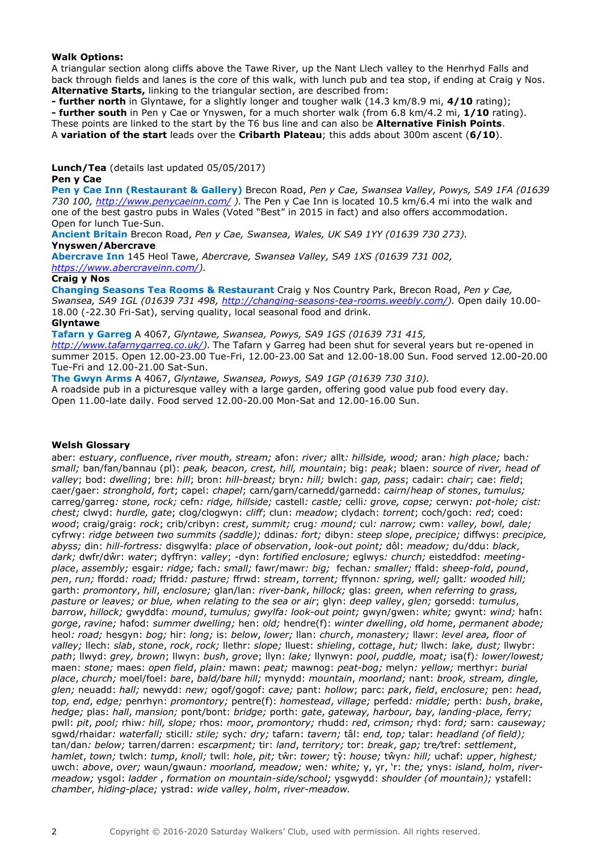### **Walk Options:**

A triangular section along cliffs above the Tawe River, up the Nant Llech valley to the Henrhyd Falls and back through fields and lanes is the core of this walk, with lunch pub and tea stop, if ending at Craig y Nos. **Alternative Starts,** linking to the triangular section, are described from:

**- further north** in Glyntawe, for a slightly longer and tougher walk (14.3 km/8.9 mi, **4/10** rating);

**- further south** in Pen y Cae or Ynyswen, for a much shorter walk (from 6.8 km/4.2 mi, **1/10** rating).

These points are linked to the start by the T6 bus line and can also be **Alternative Finish Points**.

A **variation of the start** leads over the **Cribarth Plateau**; this adds about 300m ascent (**6/10**).

**Lunch/Tea** (details last updated 05/05/2017)

### **Pen y Cae**

**Pen y Cae Inn (Restaurant & Gallery)** Brecon Road, *Pen y Cae, Swansea Valley, Powys, SA9 1FA (01639 730 100, <http://www.penycaeinn.com/> ).* The Pen y Cae Inn is located 10.5 km/6.4 mi into the walk and one of the best gastro pubs in Wales (Voted "Best" in 2015 in fact) and also offers accommodation. Open for lunch Tue-Sun.

**Ancient Britain** Brecon Road, *Pen y Cae, Swansea, Wales, UK SA9 1YY (01639 730 273).* **Ynyswen/Abercrave**

**Abercrave Inn** 145 Heol Tawe, *Abercrave, Swansea Valley, SA9 1XS (01639 731 002, [https://www.abercraveinn.com/\)](https://www.abercraveinn.com/).* 

### **Craig y Nos**

**Changing Seasons Tea Rooms & Restaurant** Craig y Nos Country Park, Brecon Road, *Pen y Cae, Swansea, SA9 1GL (01639 731 498, [http://changing-seasons-tea-rooms.weebly.com/\)](http://changing-seasons-tea-rooms.weebly.com/).* Open daily 10.00- 18.00 (-22.30 Fri-Sat), serving quality, local seasonal food and drink.

### **Glyntawe**

**Tafarn y Garreg** A 4067, *Glyntawe, Swansea, Powys, SA9 1GS (01639 731 415, [http://www.tafarnygarreg.co.uk/\)](http://www.tafarnygarreg.co.uk/).* The Tafarn y Garreg had been shut for several years but re-opened in summer 2015. Open 12.00-23.00 Tue-Fri, 12.00-23.00 Sat and 12.00-18.00 Sun. Food served 12.00-20.00 Tue-Fri and 12.00-21.00 Sat-Sun.

**The Gwyn Arms** A 4067, *Glyntawe, Swansea, Powys, SA9 1GP (01639 730 310).* 

A roadside pub in a picturesque valley with a large garden, offering good value pub food every day. Open 11.00-late daily. Food served 12.00-20.00 Mon-Sat and 12.00-16.00 Sun.

#### **Welsh Glossary**

aber: *estuary*, *confluence*, *river mouth, stream;* afon: *river;* allt*: hillside, wood;* aran*: high place;* bach*: small;* ban/fan/bannau (pl): *peak, beacon, crest, hill, mountain*; big: *peak*; blaen: *source of river, head of valley*; bod: *dwelling*; bre: *hill*; bron: *hill-breast;* bryn*: hill;* bwlch: *gap, pass*; cadair: *chair*; cae: *field*; caer/gaer: *stronghold*, *fort*; capel: *chapel*; carn/garn/carnedd/garnedd: *cairn*/*heap of stones*, *tumulus;*  carreg/garreg*: stone, rock;* cefn*: ridge, hillside;* castell*: castle;* celli*: grove, copse;* cerwyn*: pot-hole; cist: chest;* clwyd: *hurdle, gate*; clog/clogwyn: *cliff*; clun: *meadow*; clydach: *torrent*; coch/goch: *red*; coed: *wood*; craig/graig: *rock*; crib/cribyn: *crest*, *summit;* crug*: mound;* cul*: narrow;* cwm: *valley, bowl, dale;*  cyfrwy: *ridge between two summits (saddle);* ddinas*: fort;* dibyn: *steep slope*, *precipice;* diffwys: *precipice, abyss;* din: *hill-fortress:* disgwylfa: *place of observation*, *look-out point;* dôl: *meadow;* du/ddu: *black*, *dark;* dwfr/dŵr: *water*; dyffryn: *valley*; -dyn: *fortified enclosure;* eglwys*: church;* eisteddfod: *meetingplace*, *assembly;* esgair*: ridge;* fach*: small;* fawr/mawr*: big;* fechan*: smaller;* ffald: *sheep-fold*, *pound*, *pen*, *run;* ffordd*: road;* ffridd*: pasture;* ffrwd: *stream*, *torrent;* ffynnon*: spring, well;* gallt*: wooded hill;*  garth: *promontory*, *hill*, *enclosure;* glan/lan: *river-bank*, *hillock;* glas: *green, when referring to grass, pasture or leaves; or blue, when relating to the sea or air*; glyn: *deep valley*, *glen;* gorsedd: *tumulus*, *barrow*, *hillock;* gwyddfa: *mound*, *tumulus; gwylfa: look-out point;* gwyn/gwen: *white;* gwynt: *wind;* hafn: *gorge*, *ravine;* hafod: *summer dwelling;* hen: *old;* hendre(f): *winter dwelling*, *old home*, *permanent abode;*  heol*: road;* hesgyn: *bog;* hir: *long;* is: *below*, *lower;* llan: *church*, *monastery;* llawr: *level area, floor of valley;* llech: *slab*, *stone*, *rock*, *rock;* llethr: *slope;* lluest: *shieling*, *cottage*, *hut;* llwch: *lake, dust;* llwybr: *path*; llwyd: *grey, brown*; llwyn: *bush*, *grove*; llyn: *lake;* llynwyn: *pool*, *puddle, moat;* isa(f)*: lower/lowest;*  maen: *stone;* maes: *open field*, *plain:* mawn: *peat;* mawnog: *peat-bog;* melyn*: yellow;* merthyr: *burial place*, *church;* moel/foel: *bare*, *bald/bare hill;* mynydd: *mountain*, *moorland;* nant: *brook, stream, dingle, glen;* neuadd: *hall;* newydd: *new;* ogof/gogof: *cave;* pant: *hollow*; parc: *park*, *field*, *enclosure;* pen: *head*, *top, end*, *edge;* penrhyn: *promontory;* pentre(f): *homestead*, *village;* perfedd*: middle;* perth: *bush*, *brake*, *hedge;* plas: *hall*, *mansion;* pont/bont: *bridge;* porth: *gate*, *gateway, harbour, bay, landing-place, ferry;*  pwll: *pit*, *pool;* rhiw*: hill, slope;* rhos: *moor*, *promontory;* rhudd: *red*, *crimson;* rhyd: *ford;* sarn: *causeway;*  sgwd/rhaidar*: waterfall;* sticill*: stile;* sych*: dry;* tafarn: *tavern;* tâl: *end, top;* talar: *headland (of field);*  tan/dan*: below;* tarren/darren: *escarpment;* tir: *land*, *territory;* tor: *break*, *gap;* tre*/*tref: *settlement*, *hamlet*, *town;* twlch: *tump*, *knoll;* twll: *hole*, *pit;* tŵr: *tower;* tŷ: *house;* tŵyn*: hill;* uchaf: *upper*, *highest;*  uwch: *above*, *over;* waun/gwaun*: moorland, meadow;* wen*: white;* y, yr, 'r: *the;* ynys: *island, holm*, *rivermeadow;* ysgol: *ladder* , *formation on mountain-side/school;* ysgwydd: *shoulder (of mountain);* ystafell: *chamber*, *hiding-place;* ystrad: *wide valley*, *holm*, *river-meadow.*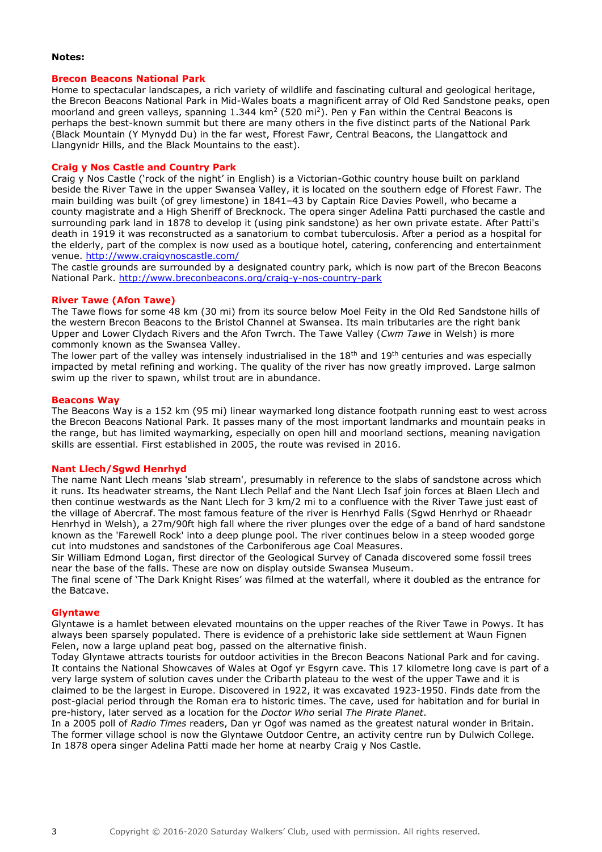### **Notes:**

#### **Brecon Beacons National Park**

Home to spectacular landscapes, a rich variety of wildlife and fascinating cultural and geological heritage, the Brecon Beacons National Park in Mid-Wales boats a magnificent array of Old Red Sandstone peaks, open moorland and green valleys, spanning  $1.344 \text{ km}^2$  (520 mi<sup>2</sup>). Pen y Fan within the Central Beacons is perhaps the best-known summit but there are many others in the five distinct parts of the National Park (Black Mountain (Y Mynydd Du) in the far west, Fforest Fawr, Central Beacons, the Llangattock and Llangynidr Hills, and the Black Mountains to the east).

### **Craig y Nos Castle and Country Park**

Craig y Nos Castle ('rock of the night' in English) is a Victorian-Gothic country house built on parkland beside the River Tawe in the upper Swansea Valley, it is located on the southern edge of Fforest Fawr. The main building was built (of grey limestone) in 1841–43 by Captain Rice Davies Powell, who became a county magistrate and a High Sheriff of Brecknock. The opera singer Adelina Patti purchased the castle and surrounding park land in 1878 to develop it (using pink sandstone) as her own private estate. After Patti's death in 1919 it was reconstructed as a sanatorium to combat tuberculosis. After a period as a hospital for the elderly, part of the complex is now used as a boutique hotel, catering, conferencing and entertainment venue.<http://www.craigynoscastle.com/>

The castle grounds are surrounded by a designated country park, which is now part of the Brecon Beacons National Park. <http://www.breconbeacons.org/craig-y-nos-country-park>

### **River Tawe (Afon Tawe)**

The Tawe flows for some 48 km (30 mi) from its source below Moel Feity in the Old Red Sandstone hills of the western Brecon Beacons to the Bristol Channel at Swansea. Its main tributaries are the right bank Upper and Lower Clydach Rivers and the Afon Twrch. The Tawe Valley (*Cwm Tawe* in Welsh) is more commonly known as the Swansea Valley.

The lower part of the valley was intensely industrialised in the  $18<sup>th</sup>$  and  $19<sup>th</sup>$  centuries and was especially impacted by metal refining and working. The quality of the river has now greatly improved. Large salmon swim up the river to spawn, whilst trout are in abundance.

### **Beacons Way**

The Beacons Way is a 152 km (95 mi) linear waymarked long distance footpath running east to west across the Brecon Beacons National Park. It passes many of the most important landmarks and mountain peaks in the range, but has limited waymarking, especially on open hill and moorland sections, meaning navigation skills are essential. First established in 2005, the route was revised in 2016.

#### **Nant Llech/Sgwd Henrhyd**

The name Nant Llech means 'slab stream', presumably in reference to the slabs of sandstone across which it runs. Its headwater streams, the Nant Llech Pellaf and the Nant Llech Isaf join forces at Blaen Llech and then continue westwards as the Nant Llech for 3 km/2 mi to a confluence with the River Tawe just east of the village of Abercraf. The most famous feature of the river is Henrhyd Falls (Sgwd Henrhyd or Rhaeadr Henrhyd in Welsh), a 27m/90ft high fall where the river plunges over the edge of a band of hard sandstone known as the 'Farewell Rock' into a deep plunge pool. The river continues below in a steep wooded gorge cut into mudstones and sandstones of the Carboniferous age Coal Measures.

Sir William Edmond Logan, first director of the Geological Survey of Canada discovered some fossil trees near the base of the falls. These are now on display outside Swansea Museum.

The final scene of 'The Dark Knight Rises' was filmed at the waterfall, where it doubled as the entrance for the Batcave.

#### **Glyntawe**

Glyntawe is a hamlet between elevated mountains on the upper reaches of the River Tawe in Powys. It has always been sparsely populated. There is evidence of a prehistoric lake side settlement at Waun Fignen Felen, now a large upland peat bog, passed on the alternative finish.

Today Glyntawe attracts tourists for outdoor activities in the Brecon Beacons National Park and for caving. It contains the National Showcaves of Wales at Ogof yr Esgyrn cave. This 17 kilometre long cave is part of a very large system of solution caves under the Cribarth plateau to the west of the upper Tawe and it is claimed to be the largest in Europe. Discovered in 1922, it was excavated 1923-1950. Finds date from the post-glacial period through the Roman era to historic times. The cave, used for habitation and for burial in pre-history, later served as a location for the *Doctor Who* serial *The Pirate Planet*.

In a 2005 poll of *Radio Times* readers, Dan yr Ogof was named as the greatest natural wonder in Britain. The former village school is now the Glyntawe Outdoor Centre, an activity centre run by Dulwich College. In 1878 opera singer Adelina Patti made her home at nearby Craig y Nos Castle.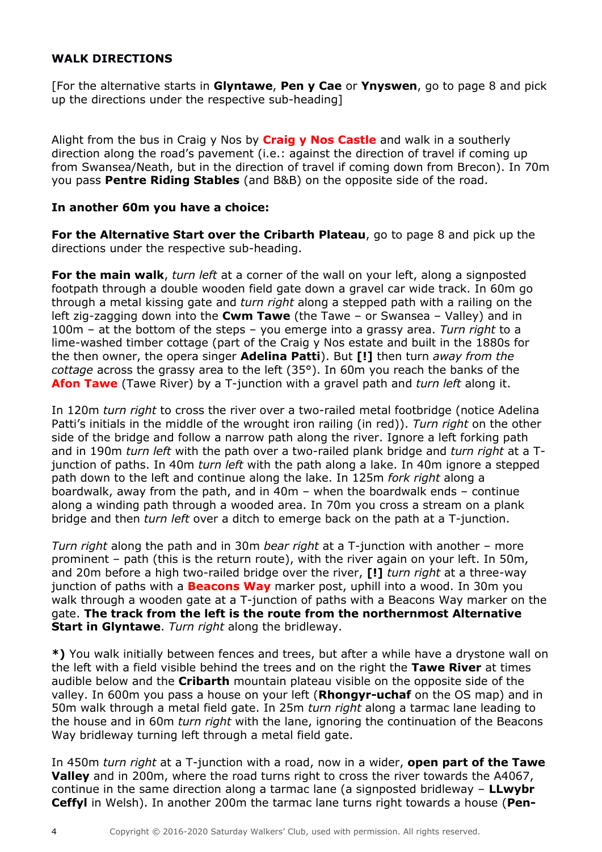# **WALK DIRECTIONS**

[For the alternative starts in **Glyntawe**, **Pen y Cae** or **Ynyswen**, go to page 8 and pick up the directions under the respective sub-heading]

Alight from the bus in Craig y Nos by **Craig y Nos Castle** and walk in a southerly direction along the road's pavement (i.e.: against the direction of travel if coming up from Swansea/Neath, but in the direction of travel if coming down from Brecon). In 70m you pass **Pentre Riding Stables** (and B&B) on the opposite side of the road.

## **In another 60m you have a choice:**

**For the Alternative Start over the Cribarth Plateau**, go to page 8 and pick up the directions under the respective sub-heading.

**For the main walk**, *turn left* at a corner of the wall on your left, along a signposted footpath through a double wooden field gate down a gravel car wide track. In 60m go through a metal kissing gate and *turn right* along a stepped path with a railing on the left zig-zagging down into the **Cwm Tawe** (the Tawe – or Swansea – Valley) and in 100m – at the bottom of the steps – you emerge into a grassy area. *Turn right* to a lime-washed timber cottage (part of the Craig y Nos estate and built in the 1880s for the then owner, the opera singer **Adelina Patti**). But **[!]** then turn *away from the cottage* across the grassy area to the left (35°). In 60m you reach the banks of the **Afon Tawe** (Tawe River) by a T-junction with a gravel path and *turn left* along it.

In 120m *turn right* to cross the river over a two-railed metal footbridge (notice Adelina Patti's initials in the middle of the wrought iron railing (in red)). *Turn right* on the other side of the bridge and follow a narrow path along the river. Ignore a left forking path and in 190m *turn left* with the path over a two-railed plank bridge and *turn right* at a Tjunction of paths. In 40m *turn left* with the path along a lake. In 40m ignore a stepped path down to the left and continue along the lake. In 125m *fork right* along a boardwalk, away from the path, and in 40m – when the boardwalk ends – continue along a winding path through a wooded area. In 70m you cross a stream on a plank bridge and then *turn left* over a ditch to emerge back on the path at a T-junction.

*Turn right* along the path and in 30m *bear right* at a T-junction with another – more prominent – path (this is the return route), with the river again on your left. In 50m, and 20m before a high two-railed bridge over the river, **[!]** *turn right* at a three-way junction of paths with a **Beacons Way** marker post, uphill into a wood. In 30m you walk through a wooden gate at a T-junction of paths with a Beacons Way marker on the gate. **The track from the left is the route from the northernmost Alternative Start in Glyntawe**. *Turn right* along the bridleway.

**\*)** You walk initially between fences and trees, but after a while have a drystone wall on the left with a field visible behind the trees and on the right the **Tawe River** at times audible below and the **Cribarth** mountain plateau visible on the opposite side of the valley. In 600m you pass a house on your left (**Rhongyr-uchaf** on the OS map) and in 50m walk through a metal field gate. In 25m *turn right* along a tarmac lane leading to the house and in 60m *turn right* with the lane, ignoring the continuation of the Beacons Way bridleway turning left through a metal field gate.

In 450m *turn right* at a T-junction with a road, now in a wider, **open part of the Tawe Valley** and in 200m, where the road turns right to cross the river towards the A4067, continue in the same direction along a tarmac lane (a signposted bridleway – **LLwybr Ceffyl** in Welsh). In another 200m the tarmac lane turns right towards a house (**Pen-**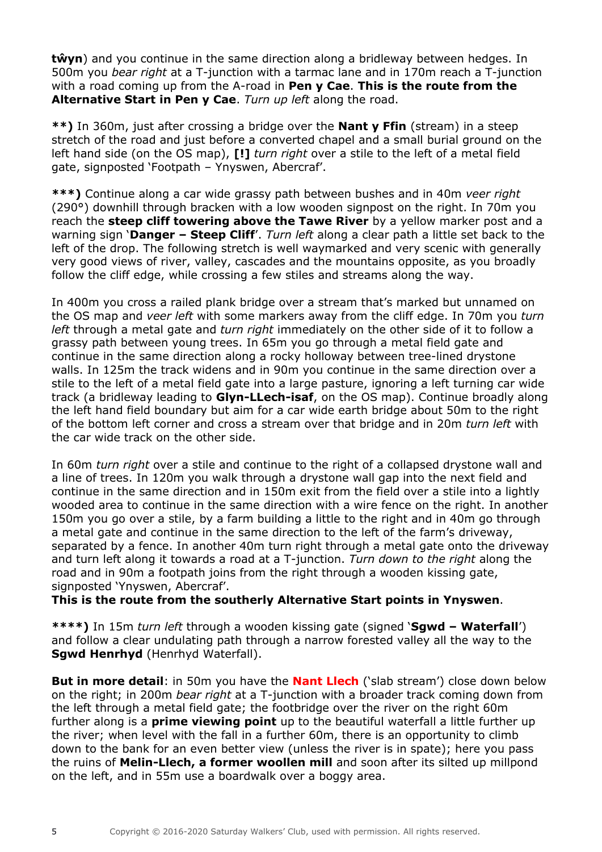**tŵyn**) and you continue in the same direction along a bridleway between hedges. In 500m you *bear right* at a T-junction with a tarmac lane and in 170m reach a T-junction with a road coming up from the A-road in **Pen y Cae**. **This is the route from the Alternative Start in Pen y Cae**. *Turn up left* along the road.

**\*\*)** In 360m, just after crossing a bridge over the **Nant y Ffin** (stream) in a steep stretch of the road and just before a converted chapel and a small burial ground on the left hand side (on the OS map), **[!]** *turn right* over a stile to the left of a metal field gate, signposted 'Footpath – Ynyswen, Abercraf'.

**\*\*\*)** Continue along a car wide grassy path between bushes and in 40m *veer right* (290°) downhill through bracken with a low wooden signpost on the right. In 70m you reach the **steep cliff towering above the Tawe River** by a yellow marker post and a warning sign '**Danger – Steep Cliff**'. *Turn left* along a clear path a little set back to the left of the drop. The following stretch is well waymarked and very scenic with generally very good views of river, valley, cascades and the mountains opposite, as you broadly follow the cliff edge, while crossing a few stiles and streams along the way.

In 400m you cross a railed plank bridge over a stream that's marked but unnamed on the OS map and *veer left* with some markers away from the cliff edge. In 70m you *turn left* through a metal gate and *turn right* immediately on the other side of it to follow a grassy path between young trees. In 65m you go through a metal field gate and continue in the same direction along a rocky holloway between tree-lined drystone walls. In 125m the track widens and in 90m you continue in the same direction over a stile to the left of a metal field gate into a large pasture, ignoring a left turning car wide track (a bridleway leading to **Glyn-LLech-isaf**, on the OS map). Continue broadly along the left hand field boundary but aim for a car wide earth bridge about 50m to the right of the bottom left corner and cross a stream over that bridge and in 20m *turn left* with the car wide track on the other side.

In 60m *turn right* over a stile and continue to the right of a collapsed drystone wall and a line of trees. In 120m you walk through a drystone wall gap into the next field and continue in the same direction and in 150m exit from the field over a stile into a lightly wooded area to continue in the same direction with a wire fence on the right. In another 150m you go over a stile, by a farm building a little to the right and in 40m go through a metal gate and continue in the same direction to the left of the farm's driveway, separated by a fence. In another 40m turn right through a metal gate onto the driveway and turn left along it towards a road at a T-junction. *Turn down to the right* along the road and in 90m a footpath joins from the right through a wooden kissing gate, signposted 'Ynyswen, Abercraf'.

### **This is the route from the southerly Alternative Start points in Ynyswen**.

**\*\*\*\*)** In 15m *turn left* through a wooden kissing gate (signed '**Sgwd – Waterfall**') and follow a clear undulating path through a narrow forested valley all the way to the **Sgwd Henrhyd** (Henrhyd Waterfall).

**But in more detail**: in 50m you have the **Nant Llech** ('slab stream') close down below on the right; in 200m *bear right* at a T-junction with a broader track coming down from the left through a metal field gate; the footbridge over the river on the right 60m further along is a **prime viewing point** up to the beautiful waterfall a little further up the river; when level with the fall in a further 60m, there is an opportunity to climb down to the bank for an even better view (unless the river is in spate); here you pass the ruins of **Melin-Llech, a former woollen mill** and soon after its silted up millpond on the left, and in 55m use a boardwalk over a boggy area.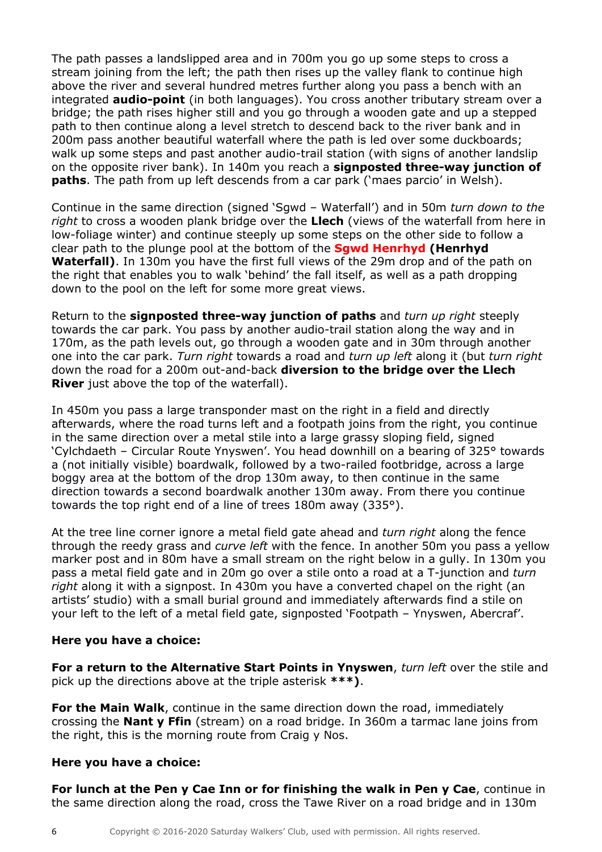The path passes a landslipped area and in 700m you go up some steps to cross a stream joining from the left; the path then rises up the valley flank to continue high above the river and several hundred metres further along you pass a bench with an integrated **audio-point** (in both languages). You cross another tributary stream over a bridge; the path rises higher still and you go through a wooden gate and up a stepped path to then continue along a level stretch to descend back to the river bank and in 200m pass another beautiful waterfall where the path is led over some duckboards; walk up some steps and past another audio-trail station (with signs of another landslip on the opposite river bank). In 140m you reach a **signposted three-way junction of paths**. The path from up left descends from a car park ('maes parcio' in Welsh).

Continue in the same direction (signed 'Sgwd – Waterfall') and in 50m *turn down to the right* to cross a wooden plank bridge over the **Llech** (views of the waterfall from here in low-foliage winter) and continue steeply up some steps on the other side to follow a clear path to the plunge pool at the bottom of the **Sgwd Henrhyd (Henrhyd Waterfall)**. In 130m you have the first full views of the 29m drop and of the path on the right that enables you to walk 'behind' the fall itself, as well as a path dropping down to the pool on the left for some more great views.

Return to the **signposted three-way junction of paths** and *turn up right* steeply towards the car park. You pass by another audio-trail station along the way and in 170m, as the path levels out, go through a wooden gate and in 30m through another one into the car park. *Turn right* towards a road and *turn up left* along it (but *turn right* down the road for a 200m out-and-back **diversion to the bridge over the Llech River** just above the top of the waterfall).

In 450m you pass a large transponder mast on the right in a field and directly afterwards, where the road turns left and a footpath joins from the right, you continue in the same direction over a metal stile into a large grassy sloping field, signed 'Cylchdaeth – Circular Route Ynyswen'. You head downhill on a bearing of 325° towards a (not initially visible) boardwalk, followed by a two-railed footbridge, across a large boggy area at the bottom of the drop 130m away, to then continue in the same direction towards a second boardwalk another 130m away. From there you continue towards the top right end of a line of trees 180m away (335°).

At the tree line corner ignore a metal field gate ahead and *turn right* along the fence through the reedy grass and *curve left* with the fence. In another 50m you pass a yellow marker post and in 80m have a small stream on the right below in a gully. In 130m you pass a metal field gate and in 20m go over a stile onto a road at a T-junction and *turn right* along it with a signpost. In 430m you have a converted chapel on the right (an artists' studio) with a small burial ground and immediately afterwards find a stile on your left to the left of a metal field gate, signposted 'Footpath – Ynyswen, Abercraf'.

# **Here you have a choice:**

**For a return to the Alternative Start Points in Ynyswen**, *turn left* over the stile and pick up the directions above at the triple asterisk **\*\*\*)**.

**For the Main Walk**, continue in the same direction down the road, immediately crossing the **Nant y Ffin** (stream) on a road bridge. In 360m a tarmac lane joins from the right, this is the morning route from Craig y Nos.

# **Here you have a choice:**

**For lunch at the Pen y Cae Inn or for finishing the walk in Pen y Cae**, continue in the same direction along the road, cross the Tawe River on a road bridge and in 130m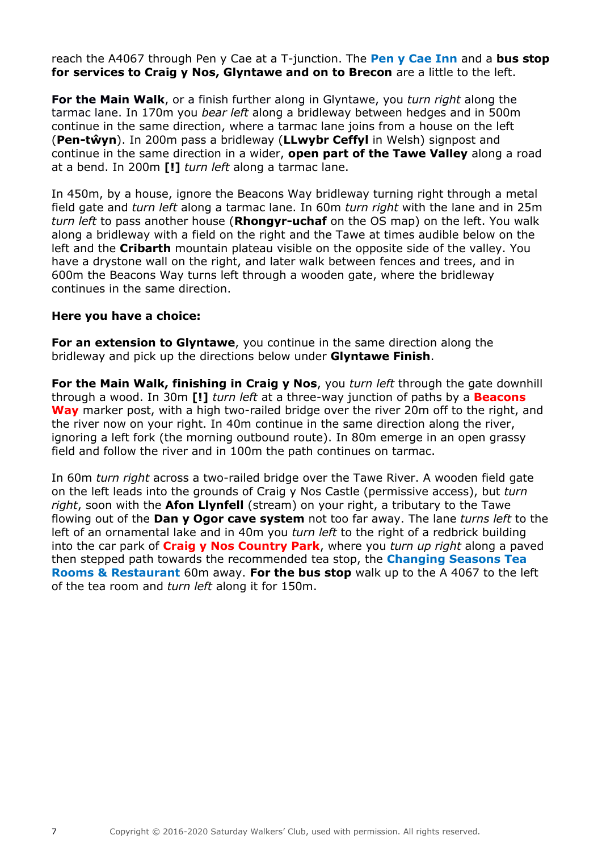reach the A4067 through Pen y Cae at a T-junction. The **Pen y Cae Inn** and a **bus stop for services to Craig y Nos, Glyntawe and on to Brecon** are a little to the left.

**For the Main Walk**, or a finish further along in Glyntawe, you *turn right* along the tarmac lane. In 170m you *bear left* along a bridleway between hedges and in 500m continue in the same direction, where a tarmac lane joins from a house on the left (**Pen-tŵyn**). In 200m pass a bridleway (**LLwybr Ceffyl** in Welsh) signpost and continue in the same direction in a wider, **open part of the Tawe Valley** along a road at a bend. In 200m **[!]** *turn left* along a tarmac lane.

In 450m, by a house, ignore the Beacons Way bridleway turning right through a metal field gate and *turn left* along a tarmac lane. In 60m *turn right* with the lane and in 25m *turn left* to pass another house (**Rhongyr-uchaf** on the OS map) on the left. You walk along a bridleway with a field on the right and the Tawe at times audible below on the left and the **Cribarth** mountain plateau visible on the opposite side of the valley. You have a drystone wall on the right, and later walk between fences and trees, and in 600m the Beacons Way turns left through a wooden gate, where the bridleway continues in the same direction.

### **Here you have a choice:**

**For an extension to Glyntawe**, you continue in the same direction along the bridleway and pick up the directions below under **Glyntawe Finish**.

**For the Main Walk, finishing in Craig y Nos**, you *turn left* through the gate downhill through a wood. In 30m **[!]** *turn left* at a three-way junction of paths by a **Beacons Way** marker post, with a high two-railed bridge over the river 20m off to the right, and the river now on your right. In 40m continue in the same direction along the river, ignoring a left fork (the morning outbound route). In 80m emerge in an open grassy field and follow the river and in 100m the path continues on tarmac.

In 60m *turn right* across a two-railed bridge over the Tawe River. A wooden field gate on the left leads into the grounds of Craig y Nos Castle (permissive access), but *turn right*, soon with the **Afon Llynfell** (stream) on your right, a tributary to the Tawe flowing out of the **Dan y Ogor cave system** not too far away. The lane *turns left* to the left of an ornamental lake and in 40m you *turn left* to the right of a redbrick building into the car park of **Craig y Nos Country Park**, where you *turn up right* along a paved then stepped path towards the recommended tea stop, the **Changing Seasons Tea Rooms & Restaurant** 60m away. **For the bus stop** walk up to the A 4067 to the left of the tea room and *turn left* along it for 150m.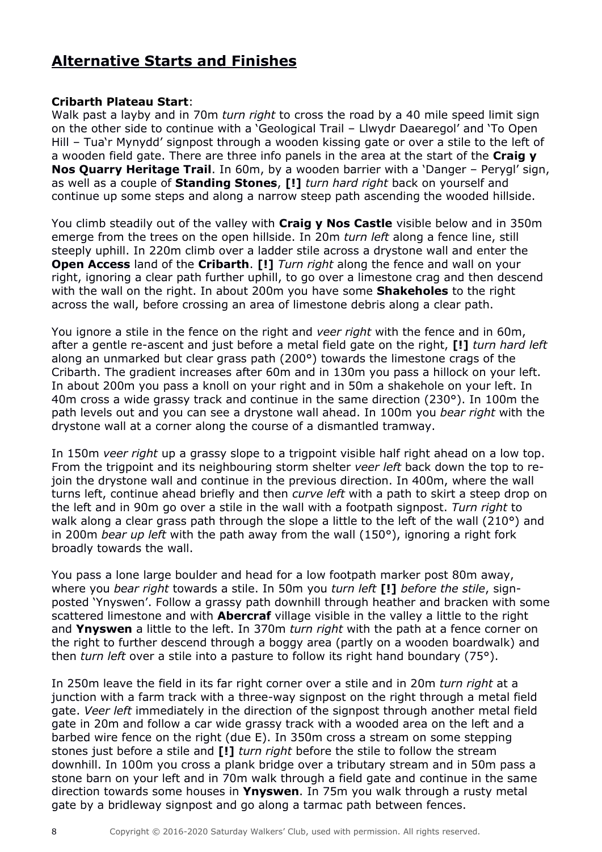# **Alternative Starts and Finishes**

# **Cribarth Plateau Start**:

Walk past a layby and in 70m *turn right* to cross the road by a 40 mile speed limit sign on the other side to continue with a 'Geological Trail – Llwydr Daearegol' and 'To Open Hill – Tua'r Mynydd' signpost through a wooden kissing gate or over a stile to the left of a wooden field gate. There are three info panels in the area at the start of the **Craig y Nos Quarry Heritage Trail**. In 60m, by a wooden barrier with a 'Danger – Perygl' sign, as well as a couple of **Standing Stones**, **[!]** *turn hard right* back on yourself and continue up some steps and along a narrow steep path ascending the wooded hillside.

You climb steadily out of the valley with **Craig y Nos Castle** visible below and in 350m emerge from the trees on the open hillside. In 20m *turn left* along a fence line, still steeply uphill. In 220m climb over a ladder stile across a drystone wall and enter the **Open Access** land of the **Cribarth**. **[!]** *Turn right* along the fence and wall on your right, ignoring a clear path further uphill, to go over a limestone crag and then descend with the wall on the right. In about 200m you have some **Shakeholes** to the right across the wall, before crossing an area of limestone debris along a clear path.

You ignore a stile in the fence on the right and *veer right* with the fence and in 60m, after a gentle re-ascent and just before a metal field gate on the right, **[!]** *turn hard left* along an unmarked but clear grass path (200°) towards the limestone crags of the Cribarth. The gradient increases after 60m and in 130m you pass a hillock on your left. In about 200m you pass a knoll on your right and in 50m a shakehole on your left. In 40m cross a wide grassy track and continue in the same direction (230°). In 100m the path levels out and you can see a drystone wall ahead. In 100m you *bear right* with the drystone wall at a corner along the course of a dismantled tramway.

In 150m *veer right* up a grassy slope to a trigpoint visible half right ahead on a low top. From the trigpoint and its neighbouring storm shelter *veer left* back down the top to rejoin the drystone wall and continue in the previous direction. In 400m, where the wall turns left, continue ahead briefly and then *curve left* with a path to skirt a steep drop on the left and in 90m go over a stile in the wall with a footpath signpost. *Turn right* to walk along a clear grass path through the slope a little to the left of the wall (210 $\degree$ ) and in 200m *bear up left* with the path away from the wall (150°), ignoring a right fork broadly towards the wall.

You pass a lone large boulder and head for a low footpath marker post 80m away, where you *bear right* towards a stile. In 50m you *turn left* **[!]** *before the stile*, signposted 'Ynyswen'. Follow a grassy path downhill through heather and bracken with some scattered limestone and with **Abercraf** village visible in the valley a little to the right and **Ynyswen** a little to the left. In 370m *turn right* with the path at a fence corner on the right to further descend through a boggy area (partly on a wooden boardwalk) and then *turn left* over a stile into a pasture to follow its right hand boundary (75°).

In 250m leave the field in its far right corner over a stile and in 20m *turn right* at a junction with a farm track with a three-way signpost on the right through a metal field gate. *Veer left* immediately in the direction of the signpost through another metal field gate in 20m and follow a car wide grassy track with a wooded area on the left and a barbed wire fence on the right (due E). In 350m cross a stream on some stepping stones just before a stile and **[!]** *turn right* before the stile to follow the stream downhill. In 100m you cross a plank bridge over a tributary stream and in 50m pass a stone barn on your left and in 70m walk through a field gate and continue in the same direction towards some houses in **Ynyswen**. In 75m you walk through a rusty metal gate by a bridleway signpost and go along a tarmac path between fences.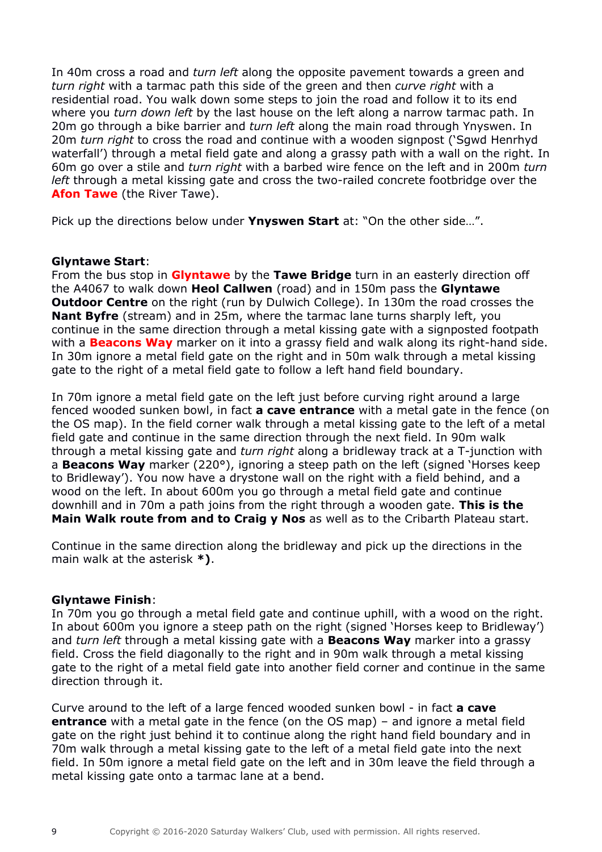In 40m cross a road and *turn left* along the opposite pavement towards a green and *turn right* with a tarmac path this side of the green and then *curve right* with a residential road. You walk down some steps to join the road and follow it to its end where you *turn down left* by the last house on the left along a narrow tarmac path. In 20m go through a bike barrier and *turn left* along the main road through Ynyswen. In 20m *turn right* to cross the road and continue with a wooden signpost ('Sgwd Henrhyd waterfall') through a metal field gate and along a grassy path with a wall on the right. In 60m go over a stile and *turn right* with a barbed wire fence on the left and in 200m *turn left* through a metal kissing gate and cross the two-railed concrete footbridge over the **Afon Tawe** (the River Tawe).

Pick up the directions below under **Ynyswen Start** at: "On the other side…".

### **Glyntawe Start**:

From the bus stop in **Glyntawe** by the **Tawe Bridge** turn in an easterly direction off the A4067 to walk down **Heol Callwen** (road) and in 150m pass the **Glyntawe Outdoor Centre** on the right (run by Dulwich College). In 130m the road crosses the **Nant Byfre** (stream) and in 25m, where the tarmac lane turns sharply left, you continue in the same direction through a metal kissing gate with a signposted footpath with a **Beacons Way** marker on it into a grassy field and walk along its right-hand side. In 30m ignore a metal field gate on the right and in 50m walk through a metal kissing gate to the right of a metal field gate to follow a left hand field boundary.

In 70m ignore a metal field gate on the left just before curving right around a large fenced wooded sunken bowl, in fact **a cave entrance** with a metal gate in the fence (on the OS map). In the field corner walk through a metal kissing gate to the left of a metal field gate and continue in the same direction through the next field. In 90m walk through a metal kissing gate and *turn right* along a bridleway track at a T-junction with a **Beacons Way** marker (220°), ignoring a steep path on the left (signed 'Horses keep to Bridleway'). You now have a drystone wall on the right with a field behind, and a wood on the left. In about 600m you go through a metal field gate and continue downhill and in 70m a path joins from the right through a wooden gate. **This is the Main Walk route from and to Craig y Nos** as well as to the Cribarth Plateau start.

Continue in the same direction along the bridleway and pick up the directions in the main walk at the asterisk **\*)**.

### **Glyntawe Finish**:

In 70m you go through a metal field gate and continue uphill, with a wood on the right. In about 600m you ignore a steep path on the right (signed 'Horses keep to Bridleway') and *turn left* through a metal kissing gate with a **Beacons Way** marker into a grassy field. Cross the field diagonally to the right and in 90m walk through a metal kissing gate to the right of a metal field gate into another field corner and continue in the same direction through it.

Curve around to the left of a large fenced wooded sunken bowl - in fact **a cave entrance** with a metal gate in the fence (on the OS map) – and ignore a metal field gate on the right just behind it to continue along the right hand field boundary and in 70m walk through a metal kissing gate to the left of a metal field gate into the next field. In 50m ignore a metal field gate on the left and in 30m leave the field through a metal kissing gate onto a tarmac lane at a bend.